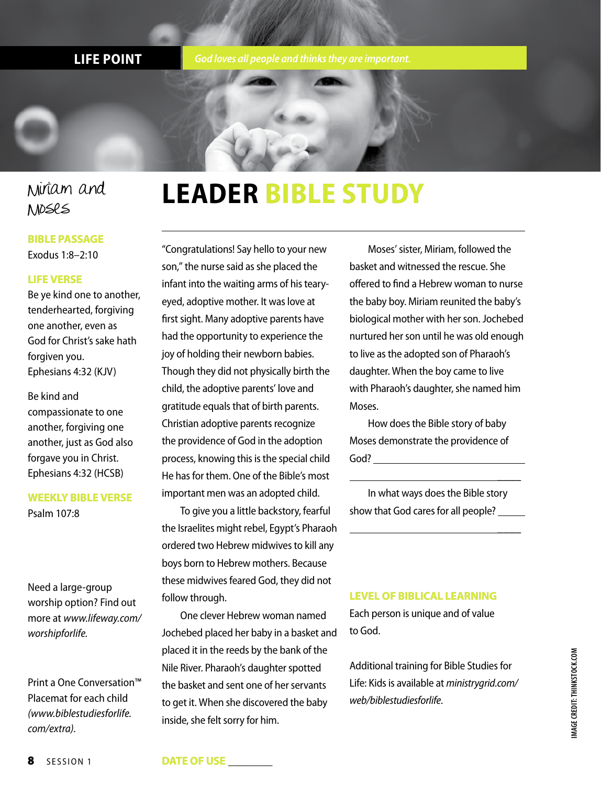**LIFE POINT** *God loves all people and thinks they are important.*

### Miriam and Moses

### **BIBLE PASSAGE**

Exodus 1:8–2:10

### **LIFE VERSE**

Be ye kind one to another, tenderhearted, forgiving one another, even as God for Christ's sake hath forgiven you. Ephesians 4:32 (KJV)

Be kind and compassionate to one another, forgiving one another, just as God also forgave you in Christ. Ephesians 4:32 (HCSB)

### **WEEKLY BIBLE VERSE**

Psalm 107:8

Need a large-group worship option? Find out more at *www.lifeway.com/ worshipforlife.*

Print a One Conversation™ Placemat for each child *(www.biblestudiesforlife. com/extra).*

## **LEADER BIBLE STUDY**

"Congratulations! Say hello to your new son," the nurse said as she placed the infant into the waiting arms of his tearyeyed, adoptive mother. It was love at first sight. Many adoptive parents have had the opportunity to experience the joy of holding their newborn babies. Though they did not physically birth the child, the adoptive parents' love and gratitude equals that of birth parents. Christian adoptive parents recognize the providence of God in the adoption process, knowing this is the special child He has for them. One of the Bible's most important men was an adopted child.

To give you a little backstory, fearful the Israelites might rebel, Egypt's Pharaoh ordered two Hebrew midwives to kill any boys born to Hebrew mothers. Because these midwives feared God, they did not follow through.

One clever Hebrew woman named Jochebed placed her baby in a basket and placed it in the reeds by the bank of the Nile River. Pharaoh's daughter spotted the basket and sent one of her servants to get it. When she discovered the baby inside, she felt sorry for him.

Moses' sister, Miriam, followed the basket and witnessed the rescue. She offered to find a Hebrew woman to nurse the baby boy. Miriam reunited the baby's biological mother with her son. Jochebed nurtured her son until he was old enough to live as the adopted son of Pharaoh's daughter. When the boy came to live with Pharaoh's daughter, she named him Moses.

How does the Bible story of baby Moses demonstrate the providence of God?

In what ways does the Bible story show that God cares for all people?

\_\_\_\_

\_\_\_\_

### **LEVEL OF BIBLICAL LEARNING**

Each person is unique and of value to God.

Additional training for Bible Studies for Life: Kids is available at *ministrygrid.com/ web/biblestudiesforlife*.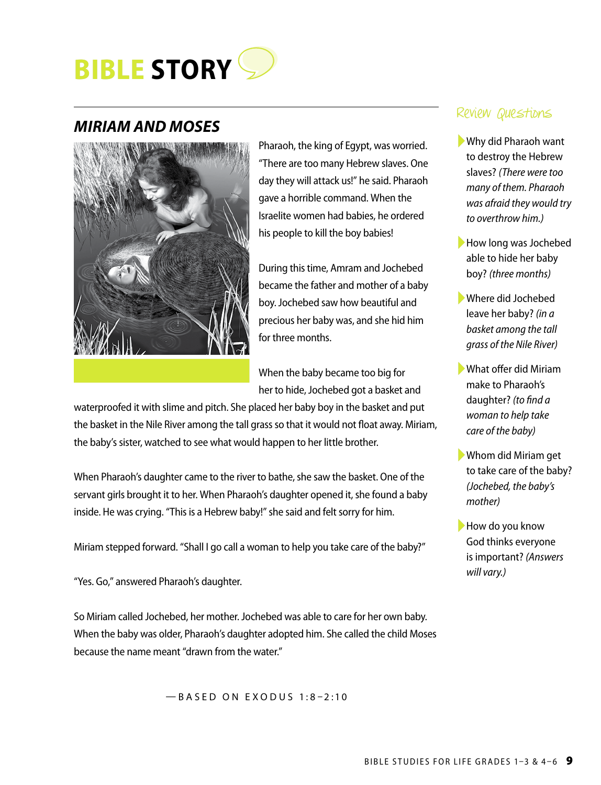

### *MIRIAM AND MOSES*



Pharaoh, the king of Egypt, was worried. "There are too many Hebrew slaves. One day they will attack us!" he said. Pharaoh gave a horrible command. When the Israelite women had babies, he ordered his people to kill the boy babies!

During this time, Amram and Jochebed became the father and mother of a baby boy. Jochebed saw how beautiful and precious her baby was, and she hid him for three months.

When the baby became too big for her to hide, Jochebed got a basket and

waterproofed it with slime and pitch. She placed her baby boy in the basket and put the basket in the Nile River among the tall grass so that it would not float away. Miriam, the baby's sister, watched to see what would happen to her little brother.

When Pharaoh's daughter came to the river to bathe, she saw the basket. One of the servant girls brought it to her. When Pharaoh's daughter opened it, she found a baby inside. He was crying. "This is a Hebrew baby!" she said and felt sorry for him.

Miriam stepped forward. "Shall I go call a woman to help you take care of the baby?"

"Yes. Go," answered Pharaoh's daughter.

So Miriam called Jochebed, her mother. Jochebed was able to care for her own baby. When the baby was older, Pharaoh's daughter adopted him. She called the child Moses because the name meant "drawn from the water."

—BASED ON EXODUS 1:8–2:10

### Review Questions

- ►Why did Pharaoh want to destroy the Hebrew slaves? *(There were too many of them. Pharaoh was afraid they would try to overthrow him.)*
- ▶How long was Jochebed able to hide her baby boy? *(three months)*
- ►Where did Jochebed leave her baby? *(in a basket among the tall grass of the Nile River)*
- ►What offer did Miriam make to Pharaoh's daughter? *(to find a woman to help take care of the baby)*
- ►Whom did Miriam get to take care of the baby? *(Jochebed, the baby's mother)*
- ▶How do you know God thinks everyone is important? *(Answers will vary.)*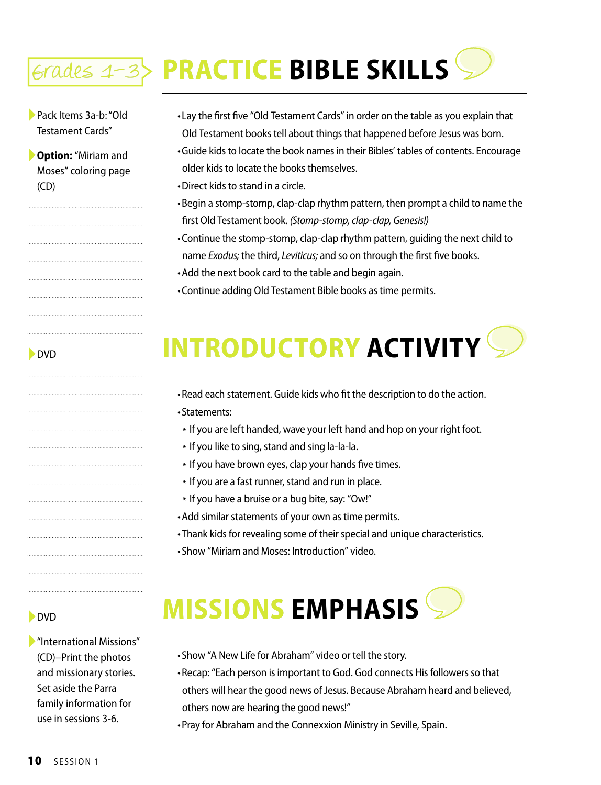# Grades 1-3 **PRACTICE BIBLE SKILLS**

►Pack Items 3a-b: "Old Testament Cards"

►**Option:** "Miriam and Moses" coloring page (CD)

►DVD

- •Lay the first five "Old Testament Cards" in order on the table as you explain that Old Testament books tell about things that happened before Jesus was born.
- •Guide kids to locate the book names in their Bibles' tables of contents. Encourage older kids to locate the books themselves.
- •Direct kids to stand in a circle.
- •Begin a stomp-stomp, clap-clap rhythm pattern, then prompt a child to name the first Old Testament book. *(Stomp-stomp, clap-clap, Genesis!)*
- •Continue the stomp-stomp, clap-clap rhythm pattern, guiding the next child to name *Exodus;* the third, *Leviticus;* and so on through the first five books.
- •Add the next book card to the table and begin again.
- •Continue adding Old Testament Bible books as time permits.

## **INTRODUCTORY ACTIVITY**

- •Read each statement. Guide kids who fit the description to do the action.
- •Statements:
- \* If you are left handed, wave your left hand and hop on your right foot.
- \* If you like to sing, stand and sing la-la-la.
- \* If you have brown eyes, clap your hands five times.
- \* If you are a fast runner, stand and run in place.
- \* If you have a bruise or a bug bite, say: "Ow!"
- •Add similar statements of your own as time permits.
- •Thank kids for revealing some of their special and unique characteristics.
- •Show "Miriam and Moses: Introduction" video.

## **MISSIONS EMPHASIS**

- ►"International Missions" (CD)–Print the photos and missionary stories. Set aside the Parra family information for use in sessions 3-6.
- •Show "A New Life for Abraham" video or tell the story.
- •Recap: "Each person is important to God. God connects His followers so that others will hear the good news of Jesus. Because Abraham heard and believed, others now are hearing the good news!"
- •Pray for Abraham and the Connexxion Ministry in Seville, Spain.

►DVD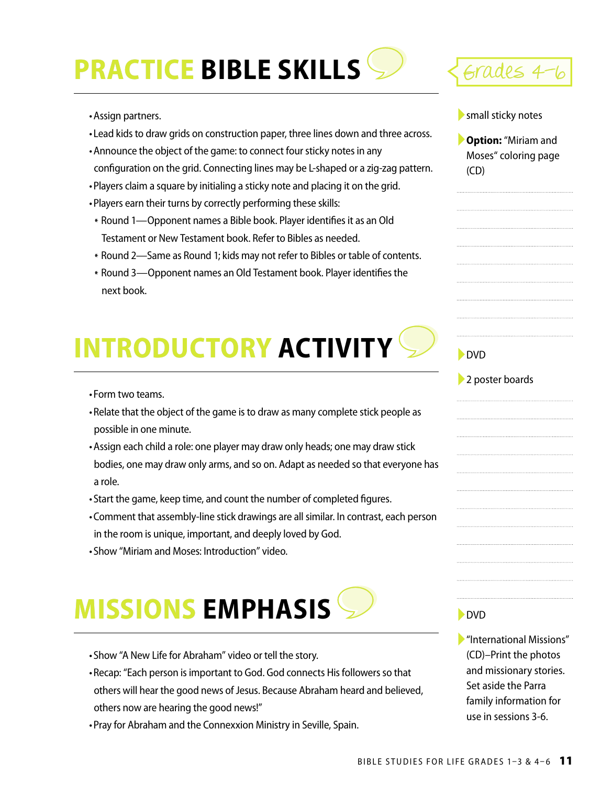# **PRACTICE BIBLE SKILLS** Sarades 4



- •Lead kids to draw grids on construction paper, three lines down and three across.
- •Announce the object of the game: to connect four sticky notes in any configuration on the grid. Connecting lines may be L-shaped or a zig-zag pattern.
- •Players claim a square by initialing a sticky note and placing it on the grid.
- •Players earn their turns by correctly performing these skills:
- \* Round 1—Opponent names a Bible book. Player identifies it as an Old Testament or New Testament book. Refer to Bibles as needed.
- \* Round 2—Same as Round 1; kids may not refer to Bibles or table of contents.
- \* Round 3—Opponent names an Old Testament book. Player identifies the next book.

## **INTRODUCTORY ACTIVITY**

- •Form two teams.
- •Relate that the object of the game is to draw as many complete stick people as possible in one minute.
- •Assign each child a role: one player may draw only heads; one may draw stick bodies, one may draw only arms, and so on. Adapt as needed so that everyone has a role.
- •Start the game, keep time, and count the number of completed figures.
- •Comment that assembly-line stick drawings are all similar. In contrast, each person in the room is unique, important, and deeply loved by God.
- •Show "Miriam and Moses: Introduction" video.

## **MISSIONS EMPHASIS**

- •Show "A New Life for Abraham" video or tell the story.
- •Recap: "Each person is important to God. God connects His followers so that others will hear the good news of Jesus. Because Abraham heard and believed, others now are hearing the good news!"
- •Pray for Abraham and the Connexxion Ministry in Seville, Spain.



▶ small sticky notes

►**Option:** "Miriam and Moses" coloring page (CD)

### ►DVD

### ▶ 2 poster boards

►DVD

►"International Missions" (CD)–Print the photos and missionary stories. Set aside the Parra family information for use in sessions 3-6.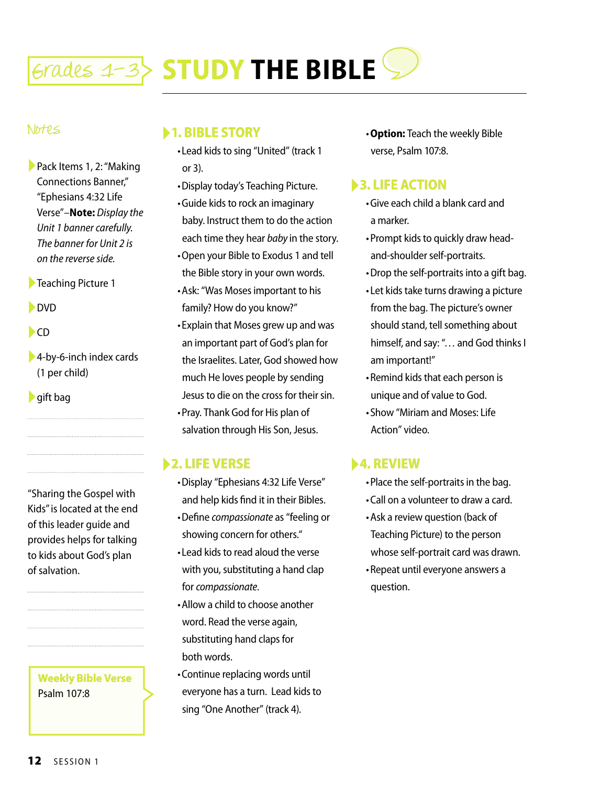

### Notes

- ►Pack Items 1, 2: "Making Connections Banner," "Ephesians 4:32 Life Verse"*–***Note:** *Display the Unit 1 banner carefully. The banner for Unit 2 is on the reverse side.*
- ►Teaching Picture 1
- ►DVD
- $\blacktriangleright$ CD
- ►4-by-6-inch index cards (1 per child)
- ►gift bag

"Sharing the Gospel with Kids" is located at the end of this leader guide and provides helps for talking to kids about God's plan of salvation.

**Weekly Bible Verse** Psalm 107:8

### ►**1. BIBLE STORY**

- •Lead kids to sing "United" (track 1 or 3).
- •Display today's Teaching Picture.
- •Guide kids to rock an imaginary baby. Instruct them to do the action each time they hear *baby* in the story.
- •Open your Bible to Exodus 1 and tell the Bible story in your own words.
- •Ask: "Was Moses important to his family? How do you know?"
- •Explain that Moses grew up and was an important part of God's plan for the Israelites. Later, God showed how much He loves people by sending Jesus to die on the cross for their sin.
- •Pray. Thank God for His plan of salvation through His Son, Jesus.

### ►**2. LIFE VERSE**

- •Display "Ephesians 4:32 Life Verse" and help kids find it in their Bibles.
- •Define *compassionate* as "feeling or showing concern for others."
- •Lead kids to read aloud the verse with you, substituting a hand clap for *compassionate*.
- •Allow a child to choose another word. Read the verse again, substituting hand claps for both words.
- •Continue replacing words until everyone has a turn. Lead kids to sing "One Another" (track 4).

•**Option:** Teach the weekly Bible verse, Psalm 107:8.

### ►**3. LIFE ACTION**

- •Give each child a blank card and a marker.
- •Prompt kids to quickly draw headand-shoulder self-portraits.
- •Drop the self-portraits into a gift bag.
- •Let kids take turns drawing a picture from the bag. The picture's owner should stand, tell something about himself, and say: "… and God thinks I am important!"
- •Remind kids that each person is unique and of value to God.
- •Show "Miriam and Moses: Life Action" video.

### ►**4. REVIEW**

- •Place the self-portraits in the bag.
- •Call on a volunteer to draw a card.
- •Ask a review question (back of Teaching Picture) to the person whose self-portrait card was drawn.
- •Repeat until everyone answers a question.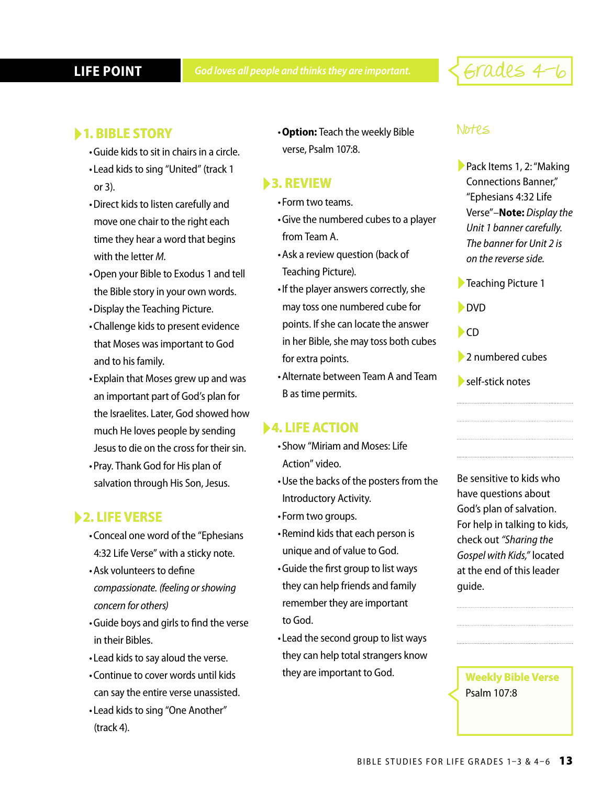## Grades 4-6

- •Guide kids to sit in chairs in a circle.
- •Lead kids to sing "United" (track 1 or 3).
- •Direct kids to listen carefully and move one chair to the right each time they hear a word that begins with the letter *M*.
- •Open your Bible to Exodus 1 and tell the Bible story in your own words.
- •Display the Teaching Picture.
- •Challenge kids to present evidence that Moses was important to God and to his family.
- •Explain that Moses grew up and was an important part of God's plan for the Israelites. Later, God showed how much He loves people by sending Jesus to die on the cross for their sin.
- •Pray. Thank God for His plan of salvation through His Son, Jesus.

### ►**2. LIFE VERSE**

- •Conceal one word of the "Ephesians 4:32 Life Verse" with a sticky note.
- •Ask volunteers to define *compassionate. (feeling or showing concern for others)*
- •Guide boys and girls to find the verse in their Bibles.
- •Lead kids to say aloud the verse.
- •Continue to cover words until kids can say the entire verse unassisted.
- •Lead kids to sing "One Another" (track 4).

► Notes **1. BIBLE STORY** •**Option:** Teach the weekly Bible verse, Psalm 107:8.

### ►**3. REVIEW**

- •Form two teams.
- •Give the numbered cubes to a player from Team A.
- •Ask a review question (back of Teaching Picture).
- •If the player answers correctly, she may toss one numbered cube for points. If she can locate the answer in her Bible, she may toss both cubes for extra points.
- •Alternate between Team A and Team B as time permits.

### ►**4. LIFE ACTION**

- •Show "Miriam and Moses: Life Action" video.
- •Use the backs of the posters from the Introductory Activity.
- •Form two groups.
- •Remind kids that each person is unique and of value to God.
- •Guide the first group to list ways they can help friends and family remember they are important to God.
- •Lead the second group to list ways they can help total strangers know they are important to God.

- ►Pack Items 1, 2: "Making Connections Banner," "Ephesians 4:32 Life Verse"*–***Note:** *Display the Unit 1 banner carefully. The banner for Unit 2 is on the reverse side.*
- ►Teaching Picture 1
- ►DVD
- $\blacktriangleright$ CD
- ►2 numbered cubes
- ►self-stick notes

Be sensitive to kids who have questions about God's plan of salvation. For help in talking to kids, check out *"Sharing the Gospel with Kids,"* located at the end of this leader guide.

**Weekly Bible Verse** Psalm 107:8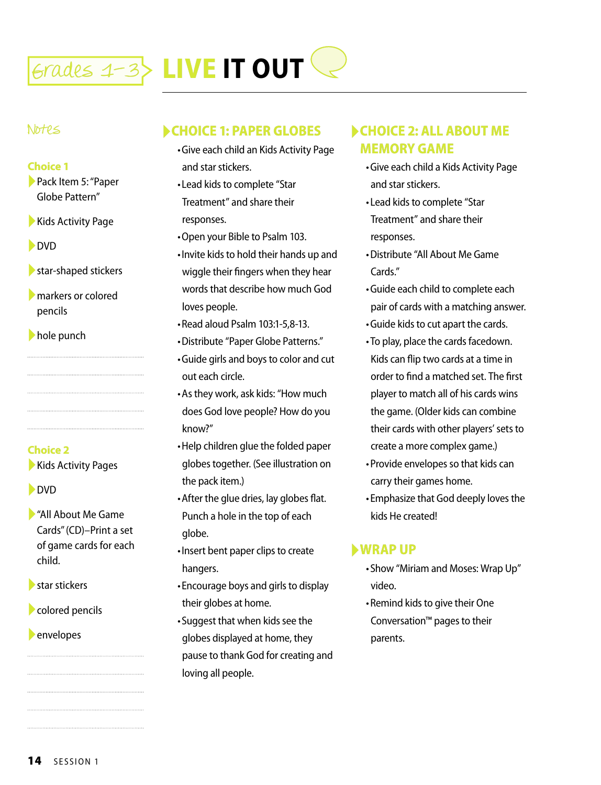

### Notes

### **Choice 1**

►Pack Item 5: "Paper Globe Pattern"

►Kids Activity Page

►DVD

- $\blacktriangleright$  star-shaped stickers
- ►markers or colored pencils

►hole punch

**Choice 2**

▶ Kids Activity Pages

►DVD

►"All About Me Game Cards" (CD)–Print a set of game cards for each child.

►star stickers

►colored pencils

►envelopes

### ►**CHOICE 1: PAPER GLOBES**

- •Give each child an Kids Activity Page and star stickers.
- •Lead kids to complete "Star Treatment" and share their responses.
- •Open your Bible to Psalm 103.
- •Invite kids to hold their hands up and wiggle their fingers when they hear words that describe how much God loves people.
- •Read aloud Psalm 103:1-5,8-13.
- •Distribute "Paper Globe Patterns."
- •Guide girls and boys to color and cut out each circle.
- •As they work, ask kids: "How much does God love people? How do you know?"
- •Help children glue the folded paper globes together. (See illustration on the pack item.)
- •After the glue dries, lay globes flat. Punch a hole in the top of each globe.
- •Insert bent paper clips to create hangers.
- •Encourage boys and girls to display their globes at home.
- •Suggest that when kids see the globes displayed at home, they pause to thank God for creating and loving all people.

### ►**CHOICE 2: ALL ABOUT ME MEMORY GAME**

- •Give each child a Kids Activity Page and star stickers.
- •Lead kids to complete "Star Treatment" and share their responses.
- •Distribute "All About Me Game Cards."
- •Guide each child to complete each pair of cards with a matching answer.
- •Guide kids to cut apart the cards.
- •To play, place the cards facedown. Kids can flip two cards at a time in order to find a matched set. The first player to match all of his cards wins the game. (Older kids can combine their cards with other players' sets to create a more complex game.)
- •Provide envelopes so that kids can carry their games home.
- •Emphasize that God deeply loves the kids He created!

### ►**WRAP UP**

- •Show "Miriam and Moses: Wrap Up" video.
- •Remind kids to give their One Conversation™ pages to their parents.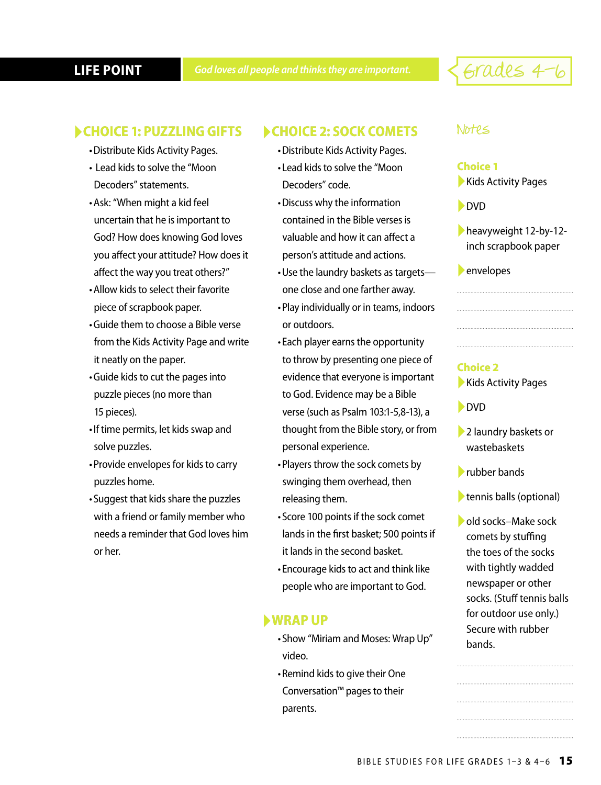**LIFE POINT** *God loves all people and thinks they are important.*  $\leq$   $\epsilon$   $rad$ es  $4$   $\sim$   $6$ 

### ►**CHOICE 1: PUZZLING GIFTS**

- •Distribute Kids Activity Pages.
- Lead kids to solve the "Moon Decoders" statements.
- •Ask: "When might a kid feel uncertain that he is important to God? How does knowing God loves you affect your attitude? How does it affect the way you treat others?"
- •Allow kids to select their favorite piece of scrapbook paper.
- •Guide them to choose a Bible verse from the Kids Activity Page and write it neatly on the paper.
- •Guide kids to cut the pages into puzzle pieces (no more than 15 pieces).
- •If time permits, let kids swap and solve puzzles.
- •Provide envelopes for kids to carry puzzles home.
- •Suggest that kids share the puzzles with a friend or family member who needs a reminder that God loves him or her.

### ►**CHOICE 2: SOCK COMETS**

- •Distribute Kids Activity Pages.
- •Lead kids to solve the "Moon Decoders" code.
- •Discuss why the information contained in the Bible verses is valuable and how it can affect a person's attitude and actions.
- •Use the laundry baskets as targets one close and one farther away.
- •Play individually or in teams, indoors or outdoors.
- •Each player earns the opportunity to throw by presenting one piece of evidence that everyone is important to God. Evidence may be a Bible verse (such as Psalm 103:1-5,8-13), a thought from the Bible story, or from personal experience.
- •Players throw the sock comets by swinging them overhead, then releasing them.
- •Score 100 points if the sock comet lands in the first basket; 500 points if it lands in the second basket.
- •Encourage kids to act and think like people who are important to God.

### ►**WRAP UP**

- •Show "Miriam and Moses: Wrap Up" video.
- •Remind kids to give their One Conversation™ pages to their parents.

### Notes

### **Choice 1**

▶ Kids Activity Pages

►DVD

- ►heavyweight 12-by-12 inch scrapbook paper
- ►envelopes

### **Choice 2**

▶ Kids Activity Pages

- ►DVD
- ►2 laundry baskets or wastebaskets
- ►rubber bands
- ►tennis balls (optional)
- ►old socks–Make sock comets by stuffing the toes of the socks with tightly wadded newspaper or other socks. (Stuff tennis balls for outdoor use only.) Secure with rubber bands.